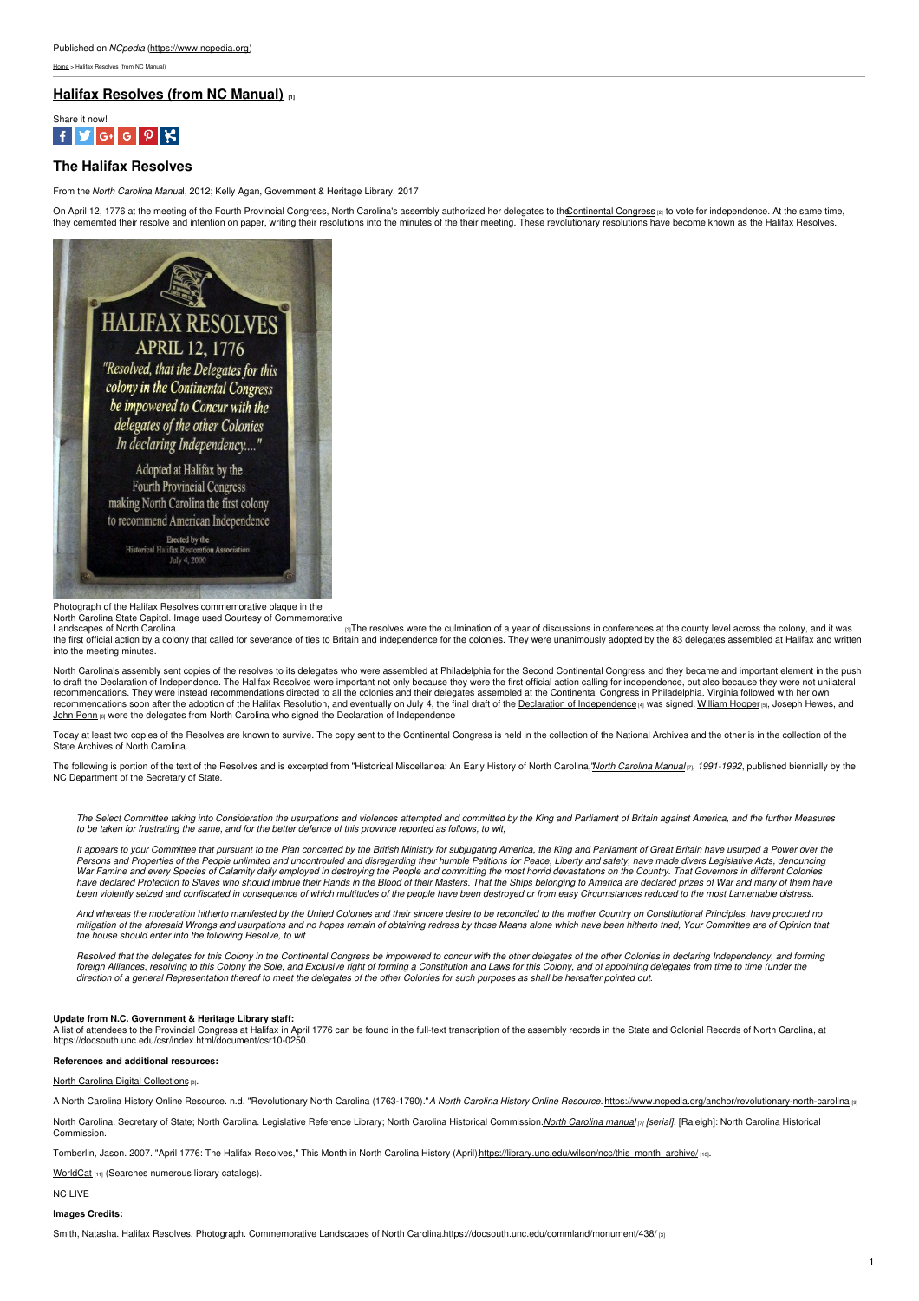[Home](https://www.ncpedia.org/) > Halifax Resolves (from NC Manual)

# **Halifax [Resolves](https://www.ncpedia.org/history/usrevolution/halifax-resolves) (from NC Manual) [1]**



## **The Halifax Resolves**

From the *North Carolina Manua*l, 2012; Kelly Agan, Government & Heritage Library, 2017

On April 12, 1776 at the meeting of the Fourth Provincial Congress, North Carolina's assembly authorized her delegates to th<u>©ontinental Congress</u> <sub>i</sub>a to vote for independence. At the same time,<br>they cememted their resolv



Photograph of the Halifax Resolves commemorative plaque in the

North Carolina State Capitol. Image used Courtesy of Commemorative  $|3|$ The resolves were the culmination of a year of discussions in conferences at the county level across the colony, and it was the first official action by a colony that called for severance of ties to Britain and independence for the colonies. They were unanimously adopted by the 83 delegates assembled at Halifax and written into the meeting minutes.

North Carolina's assembly sent copies of the resolves to its delegates who were assembled at Philadelphia for the Second Continental Congress and they became and important element in the push to draft the Declaration of Independence. The Halifax Resolves were important not only because they were the first official action calling for independence, but also because they were not unilateral<br>recommendations. They w recommendations. They were instead recommendations directed to all the colonies and their delegates assembled at the Continental Congress in Philadelphia. Virginia followed recommendations soon after the adoption of the Halifax Resolution, and eventually on July 4, the final draft of the Declaration of [Independence](https://www.ushistory.org/Declaration/document/) [4] was signed. [William](https://www.ncpedia.org/biography/hooper-william) Hooper [5], Joseph Hewes, and John [Penn](https://www.ncpedia.org/biography/penn-john) (6) were the delegates from North Carolina who signed the Declaration of Independence

Today at least two copies of the Resolves are known to survive. The copy sent to the Continental Congress is held in the collection of the National Archives and the other is in the collection of the<br>State Archives of North

The following is portion of the text of the Resolves and is excerpted from "Historical Miscellanea: An Early History of North [Carolina](https://archive.org/search.php?query=%22north carolina manual%22 AND mediatype%3Atexts),"North Carolina Manual<sub>(7)</sub>, 1991-1992, published biennially by the NC Department of the Secretary of State.

The Select Committee taking into Consideration the usurpations and violences attempted and committed by the King and Parliament of Britain against America, and the further Measures to be taken for frustrating the same, and for the better defence of this province reported as follows, to wit,

It appears to your Committee that pursuant to the Plan concerted by the British Ministry for subjugating America, the King and Parliament of Great Britain have usurped a Power over the Persons and Properties of the People unlimited and uncontrouled and disregarding their humble Petitions for Peace, Liberty and safety, have made divers Legislative Acts, denouncing<br>War Famine and every Species of Calamity have declared Protection to Slaves who should imbrue their Hands in the Blood of their Masters. That the Ships belonging to America are declared prizes of War and many of them have<br>been violently seized and confiscated in

And whereas the moderation hitherto manifested by the United Colonies and their sincere desire to be reconciled to the mother Country on Constitutional Principles, have procured no<br>mitigation of the aforesaid Wrongs and us *the house should enter into the following Resolve, to wit*

Resolved that the delegates for this Colony in the Continental Congress be impowered to concur with the other delegates of the other Colonies in declaring Independency, and forming foreign Alliances, resolving to this Colony the Sole, and Exclusive right of forming a Constitution and Laws for this Colony, and of appointing delegates from time to time (under the<br>direction of a general Representation t

#### **Update from N.C. Government & Heritage Library staff:**

A list of attendees to the Provincial Congress at Halifax in April 1776 can be found in the full-text transcription of the assembly records in the State and Colonial Records of North Carolina, at<br>https://docsouth.unc.edu/c

### **References and additional resources:**

North Carolina Digital [Collections](https://digital.ncdcr.gov/digital/search/collection/p249901coll22!p249901coll33!p249901coll26!p249901coll37!p249901coll39!p15012coll4!p15012coll1!p249901coll31!p249901coll36/searchterm/halifax resolves/field/all/mode/exact/conn/and/cosuppress/) [8].

A North Carolina History Online Resource. n.d. "Revolutionary North Carolina (1763-1790)."A North Carolina History Online Resource. https://www.

North [Carolina](https://archive.org/search.php?query=%22north carolina manual%22 AND mediatype%3Atexts). Secretary of State; North Carolina. Legislative Reference Library; North Carolina Historical Commission. North Carolina manual (r [serial]. [Raleigh]: North Carolina Historical **Commission** 

rlin, Jason. 2007. "April 1776: The Halifax Resolves," This Month in North Carolina History (April)[.https://library.unc.edu/wilson/ncc/this\\_month\\_archive/](https://library.unc.edu/wilson/ncc/this_month_archive/) [10].

[WorldCat](https://www.worldcat.org/search?q=halifax+resolves&qt=results_page) [11] (Searches numerous library catalogs).

NC LIVE

## **Images Credits:**

Smith, Natasha. Halifax Resolves. Photograph. Commemorative Landscapes of North Carolina[.https://docsouth.unc.edu/commland/monument/438/](https://docsouth.unc.edu/commland/monument/438/) [3]